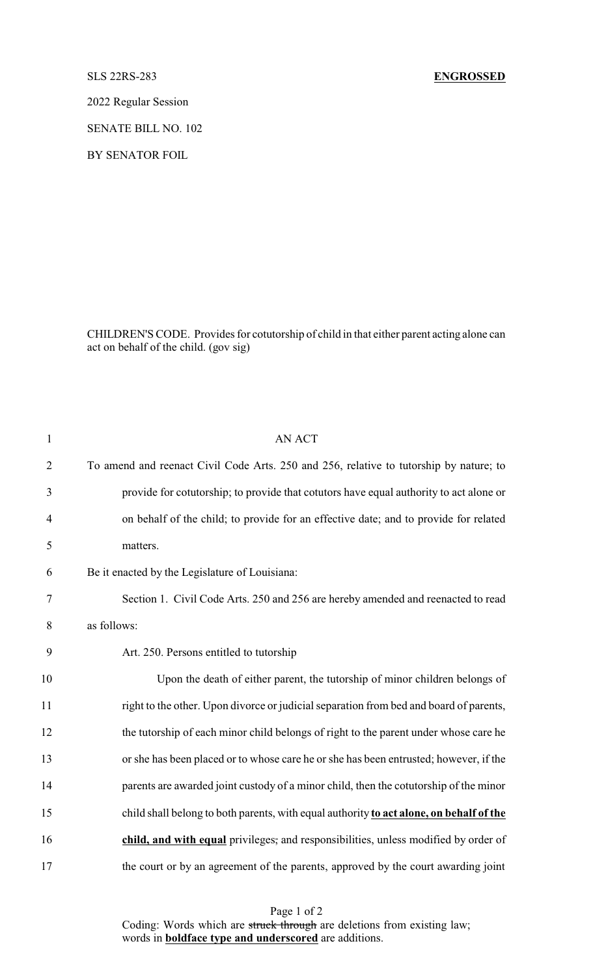2022 Regular Session

SENATE BILL NO. 102

BY SENATOR FOIL

CHILDREN'S CODE. Provides for cotutorship of child in that either parent acting alone can act on behalf of the child. (gov sig)

| $\mathbf{1}$   | <b>AN ACT</b>                                                                           |
|----------------|-----------------------------------------------------------------------------------------|
| $\overline{2}$ | To amend and reenact Civil Code Arts. 250 and 256, relative to tutorship by nature; to  |
| 3              | provide for cotutorship; to provide that cotutors have equal authority to act alone or  |
| $\overline{4}$ | on behalf of the child; to provide for an effective date; and to provide for related    |
| 5              | matters.                                                                                |
| 6              | Be it enacted by the Legislature of Louisiana:                                          |
| $\tau$         | Section 1. Civil Code Arts. 250 and 256 are hereby amended and reenacted to read        |
| 8              | as follows:                                                                             |
| 9              | Art. 250. Persons entitled to tutorship                                                 |
| 10             | Upon the death of either parent, the tutorship of minor children belongs of             |
| 11             | right to the other. Upon divorce or judicial separation from bed and board of parents,  |
| 12             | the tutorship of each minor child belongs of right to the parent under whose care he    |
| 13             | or she has been placed or to whose care he or she has been entrusted; however, if the   |
| 14             | parents are awarded joint custody of a minor child, then the cotutorship of the minor   |
| 15             | child shall belong to both parents, with equal authority to act alone, on behalf of the |
| 16             | child, and with equal privileges, and responsibilities, unless modified by order of     |
| 17             | the court or by an agreement of the parents, approved by the court awarding joint       |

Page 1 of 2 Coding: Words which are struck through are deletions from existing law; words in **boldface type and underscored** are additions.